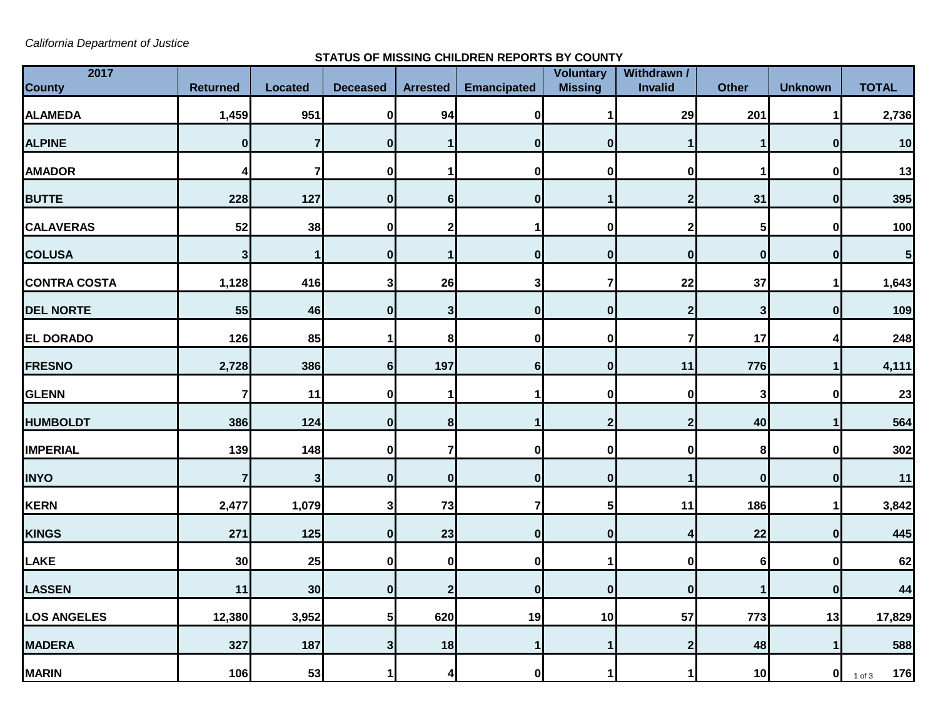*California Department of Justice*

## **STATUS OF MISSING CHILDREN REPORTS BY COUNTY**

| 2017                |                         |                         |                  |                  |                    | <b>Voluntary</b> | Withdrawn / |                  |                  |                   |
|---------------------|-------------------------|-------------------------|------------------|------------------|--------------------|------------------|-------------|------------------|------------------|-------------------|
| <b>County</b>       | <b>Returned</b>         | <b>Located</b>          | <b>Deceased</b>  | <b>Arrested</b>  | <b>Emancipated</b> | <b>Missing</b>   | Invalid     | <b>Other</b>     | <b>Unknown</b>   | <b>TOTAL</b>      |
| <b>ALAMEDA</b>      | 1,459                   | 951                     | $\mathbf 0$      | 94               | $\boldsymbol{0}$   |                  | 29          | 201              | 1                | 2,736             |
| <b>ALPINE</b>       | $\bf{0}$                | $\overline{7}$          | $\mathbf{0}$     | 1                | $\mathbf{0}$       | $\mathbf{0}$     | 1           | 1                | 0                | 10                |
| <b>AMADOR</b>       | 4                       | $\overline{\mathbf{r}}$ | 0                |                  | 0                  | U                | 0           |                  | $\mathbf 0$      | 13                |
| <b>BUTTE</b>        | 228                     | 127                     | $\boldsymbol{0}$ | $6 \mid$         | $\bf{0}$           |                  | $\mathbf 2$ | 31               | $\bf{0}$         | 395               |
| <b>CALAVERAS</b>    | 52                      | 38                      | 0                | $\mathbf{2}$     |                    | $\mathbf{0}$     | $\mathbf 2$ | 5                | $\mathbf 0$      | 100               |
| <b>COLUSA</b>       | $\mathbf 3$             | 1                       | $\mathbf 0$      | $\mathbf{1}$     | $\bf{0}$           | $\mathbf{0}$     | $\bf{0}$    | $\boldsymbol{0}$ | $\boldsymbol{0}$ | 5                 |
| <b>CONTRA COSTA</b> | 1,128                   | 416                     | 3                | 26               | 3                  | 7                | 22          | 37               | 1                | 1,643             |
| <b>DEL NORTE</b>    | 55                      | 46                      | $\bf{0}$         | 3                | $\bf{0}$           | $\mathbf{0}$     | $\mathbf 2$ | $\mathbf{3}$     | $\bf{0}$         | 109               |
| <b>EL DORADO</b>    | 126                     | 85                      |                  | $\bf 8$          | $\bf{0}$           | 0                | 7           | 17               | 4                | 248               |
| <b>FRESNO</b>       | 2,728                   | 386                     | $6\phantom{1}$   | 197              | 6                  | $\mathbf{0}$     | 11          | 776              | $\mathbf{1}$     | 4,111             |
| <b>GLENN</b>        | $\overline{\mathbf{r}}$ | 11                      | 0                |                  |                    | 0                | 0           | 3                | $\mathbf 0$      | 23                |
| <b>HUMBOLDT</b>     | 386                     | 124                     | $\boldsymbol{0}$ | 8                |                    | 2                | $\mathbf 2$ | 40               | 1                | 564               |
| <b>IMPERIAL</b>     | 139                     | 148                     | $\bf{0}$         | $\overline{7}$   | $\mathbf 0$        | $\mathbf{0}$     | $\pmb{0}$   | 8                | $\mathbf 0$      | 302               |
| <b>INYO</b>         | 7                       | 3                       | $\bf{0}$         | $\boldsymbol{0}$ | $\bf{0}$           | 0                |             | $\boldsymbol{0}$ | $\mathbf 0$      | 11                |
| <b>KERN</b>         | 2,477                   | 1,079                   | 3                | 73               | $\overline{7}$     | 51               | 11          | 186              | 1                | 3,842             |
| <b>KINGS</b>        | 271                     | 125                     | $\mathbf 0$      | 23               | $\mathbf{0}$       | $\mathbf{0}$     | 4           | 22               | $\mathbf{0}$     | 445               |
| <b>LAKE</b>         | 30                      | 25                      | $\mathbf 0$      | 0                | $\mathbf 0$        |                  | 0           | 6                | $\mathbf 0$      | 62                |
| <b>LASSEN</b>       | 11                      | 30                      | $\bf{0}$         | $\overline{2}$   | $\bf{0}$           | 0                | $\pmb{0}$   | $\mathbf 1$      | $\mathbf{0}$     | 44                |
| <b>LOS ANGELES</b>  | 12,380                  | 3,952                   | 5                | 620              | 19                 | 10               | 57          | 773              | 13               | 17,829            |
| <b>MADERA</b>       | 327                     | 187                     | 3                | 18               | 1                  |                  | $\mathbf 2$ | 48               | 1                | 588               |
| <b>MARIN</b>        | 106                     | 53                      | 1                | 4                | 0                  | 1                | 1           | 10               | 0                | 176<br>$1$ of $3$ |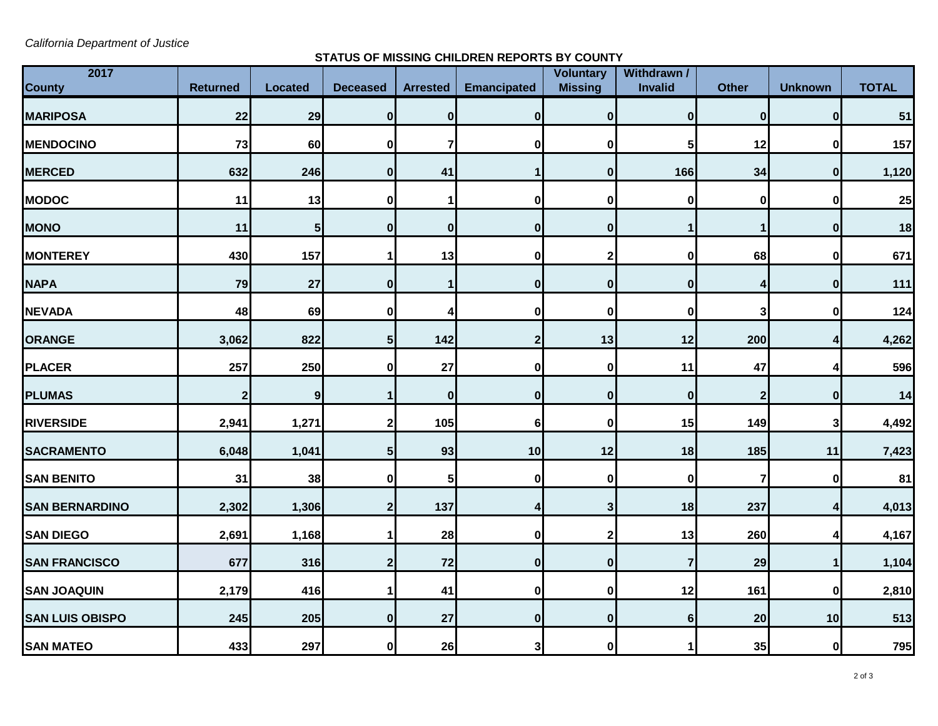*California Department of Justice*

## **STATUS OF MISSING CHILDREN REPORTS BY COUNTY**

| 2017                   |                 |                |                  |                 |                    | <b>Voluntary</b> | Withdrawn /    |                         |                |              |
|------------------------|-----------------|----------------|------------------|-----------------|--------------------|------------------|----------------|-------------------------|----------------|--------------|
| <b>County</b>          | <b>Returned</b> | <b>Located</b> | <b>Deceased</b>  | <b>Arrested</b> | <b>Emancipated</b> | <b>Missing</b>   | <b>Invalid</b> | <b>Other</b>            | <b>Unknown</b> | <b>TOTAL</b> |
| <b>MARIPOSA</b>        | 22              | 29             | 0                | $\mathbf{0}$    | $\mathbf{0}$       | $\mathbf{0}$     | 0              | $\boldsymbol{0}$        | 0              | 51           |
| <b>MENDOCINO</b>       | 73              | 60             | 0                | 7               | 0                  | $\bf{0}$         | 5              | 12                      | $\mathbf 0$    | 157          |
| <b>MERCED</b>          | 632             | 246            | $\bf{0}$         | 41              |                    | $\bf{0}$         | 166            | 34                      | $\mathbf{0}$   | 1,120        |
| <b>MODOC</b>           | 11              | 13             | 0                |                 | 0                  | O                | 0              | $\bf{0}$                | $\bf{0}$       | 25           |
| <b>MONO</b>            | 11              | 5              | $\bf{0}$         | $\mathbf{0}$    | 0                  | 0                | 1              | 1                       | $\bf{0}$       | 18           |
| <b>MONTEREY</b>        | 430             | 157            |                  | 13              | 0                  |                  | 0              | 68                      | $\mathbf 0$    | 671          |
| <b>NAPA</b>            | 79              | 27             | 0                |                 | $\mathbf{0}$       | $\bf{0}$         | $\mathbf 0$    | 4                       | $\bf{0}$       | 111          |
| <b>NEVADA</b>          | 48              | 69             | 0                | Δ               | 0                  | 0                | $\bf{0}$       | 3                       | $\bf{0}$       | 124          |
| <b>ORANGE</b>          | 3,062           | 822            | 5                | 142             | 2                  | 13               | 12             | 200                     | 4              | 4,262        |
| <b>PLACER</b>          | 257             | 250            | 0                | 27              | 0                  | 0                | 11             | 47                      | 4              | 596          |
| <b>PLUMAS</b>          | $\overline{2}$  | 9              |                  | $\mathbf 0$     | $\mathbf{0}$       | $\bf{0}$         | $\mathbf 0$    | $\mathbf{2}$            | $\bf{0}$       | 14           |
| <b>RIVERSIDE</b>       | 2,941           | 1,271          | 2                | 105             | 6                  | $\bf{0}$         | 15             | 149                     | 3              | 4,492        |
| <b>SACRAMENTO</b>      | 6,048           | 1,041          | 5                | 93              | 10                 | 12               | 18             | 185                     | 11             | 7,423        |
| <b>SAN BENITO</b>      | 31              | 38             | 0                | 5               | 0                  | $\bf{0}$         | $\mathbf 0$    | $\overline{\mathbf{r}}$ | 0              | 81           |
| <b>SAN BERNARDINO</b>  | 2,302           | 1,306          | $\boldsymbol{2}$ | 137             | 4                  | $\mathbf{3}$     | 18             | 237                     | 4              | 4,013        |
| <b>SAN DIEGO</b>       | 2,691           | 1,168          |                  | 28              | 0                  | 2                | 13             | 260                     | 4              | 4,167        |
| <b>SAN FRANCISCO</b>   | 677             | 316            | 2                | 72              | 0                  | $\mathbf{0}$     | $\overline{7}$ | 29                      | 1              | 1,104        |
| <b>SAN JOAQUIN</b>     | 2,179           | 416            |                  | 41              | $\mathbf{0}$       | 0                | 12             | 161                     | $\mathbf{0}$   | 2,810        |
| <b>SAN LUIS OBISPO</b> | 245             | 205            | $\bf{0}$         | 27              | 0                  | $\mathbf{0}$     | $6\phantom{1}$ | 20                      | 10             | 513          |
| <b>SAN MATEO</b>       | 433             | 297            | 0                | 26              | 3                  | $\bf{0}$         | 1              | 35                      | $\mathbf{0}$   | 795          |